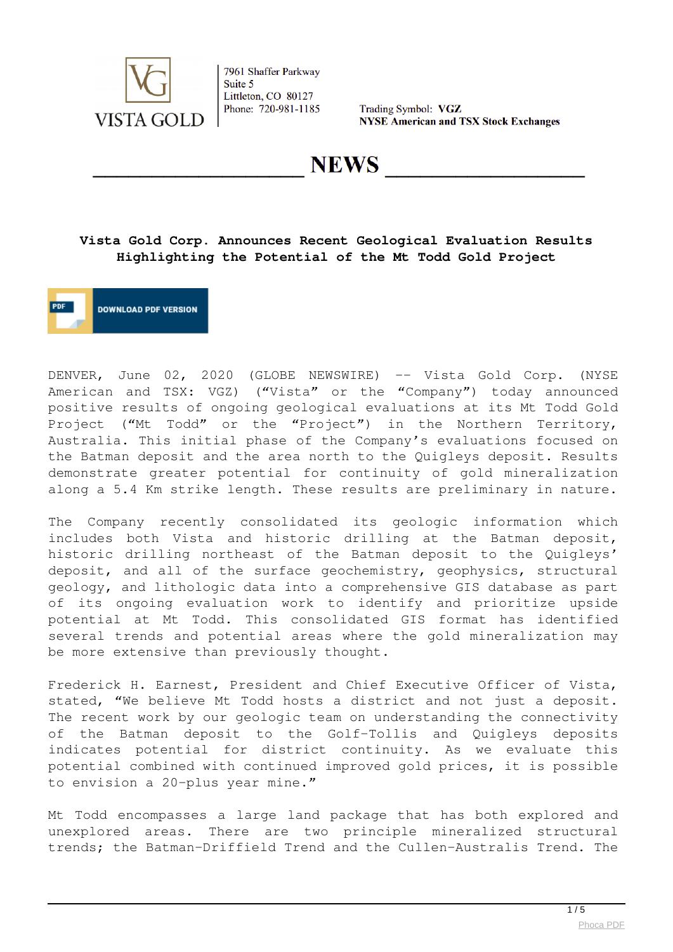

Trading Symbol: VGZ **NYSE American and TSX Stock Exchanges** 

NEWS

# **Vista Gold Corp. Announces Recent Geological Evaluation Results Highlighting the Potential of the Mt Todd Gold Project**

**DOWNLOAD PDF VERSION** 

DENVER, June 02, 2020 (GLOBE NEWSWIRE) -- Vista Gold Corp. (NYSE American and TSX: VGZ) ("Vista" or the "Company") today announced positive results of ongoing geological evaluations at its Mt Todd Gold Project ("Mt Todd" or the "Project") in the Northern Territory, Australia. This initial phase of the Company's evaluations focused on the Batman deposit and the area north to the Quigleys deposit. Results demonstrate greater potential for continuity of gold mineralization along a 5.4 Km strike length. These results are preliminary in nature.

The Company recently consolidated its geologic information which includes both Vista and historic drilling at the Batman deposit, historic drilling northeast of the Batman deposit to the Quigleys' deposit, and all of the surface geochemistry, geophysics, structural geology, and lithologic data into a comprehensive GIS database as part of its ongoing evaluation work to identify and prioritize upside potential at Mt Todd. This consolidated GIS format has identified several trends and potential areas where the gold mineralization may be more extensive than previously thought.

Frederick H. Earnest, President and Chief Executive Officer of Vista, stated, "We believe Mt Todd hosts a district and not just a deposit. The recent work by our geologic team on understanding the connectivity of the Batman deposit to the Golf-Tollis and Quigleys deposits indicates potential for district continuity. As we evaluate this potential combined with continued improved gold prices, it is possible to envision a 20-plus year mine."

Mt Todd encompasses a large land package that has both explored and unexplored areas. There are two principle mineralized structural trends; the Batman-Driffield Trend and the Cullen-Australis Trend. The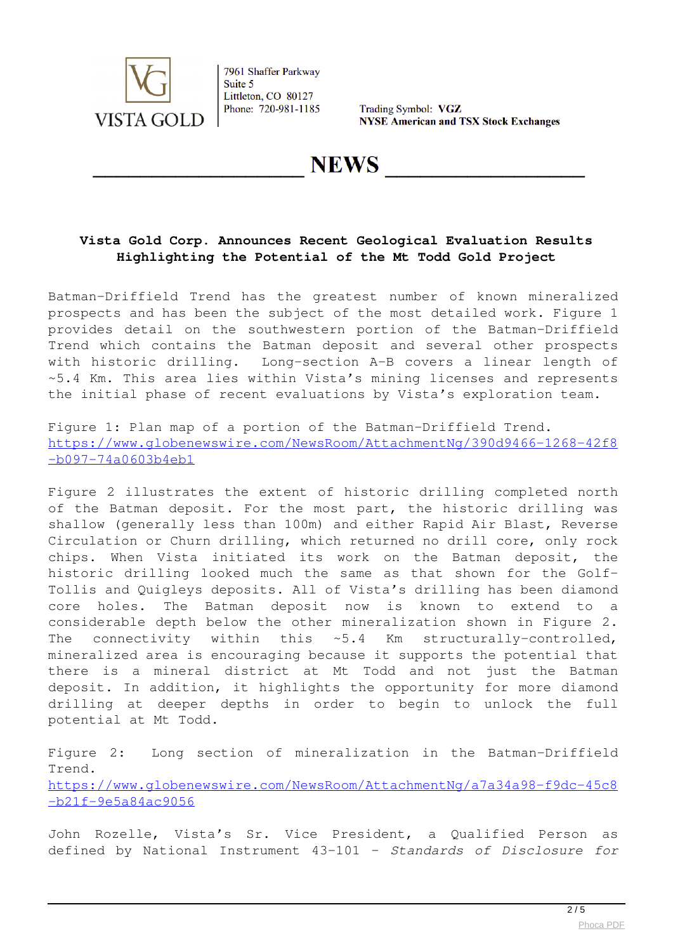

Trading Symbol: VGZ **NYSE American and TSX Stock Exchanges** 

**NEWS** 

# **Vista Gold Corp. Announces Recent Geological Evaluation Results Highlighting the Potential of the Mt Todd Gold Project**

Batman-Driffield Trend has the greatest number of known mineralized prospects and has been the subject of the most detailed work. Figure 1 provides detail on the southwestern portion of the Batman-Driffield Trend which contains the Batman deposit and several other prospects with historic drilling. Long-section A-B covers a linear length of ~5.4 Km. This area lies within Vista's mining licenses and represents the initial phase of recent evaluations by Vista's exploration team.

Figure 1: Plan map of a portion of the Batman-Driffield Trend. [https://www.globenewswire.com/NewsRoom/AttachmentNg/390d9466-1268-42f8](https://www.globenewswire.com/Tracker?data=ZfunCcGvaFxR48dCN34ohZhgXDDwE8FMk1RY2iPCbu8cre3-HAnBA5iJ_t-d3SVgrCQzrepBTg7dcfPOEb-lCEhrgF6ZtIzoLOGTXkJVnWIsL2SYKVq1QoXZBbZ7FlY3dPv3MwfVXnEwlvS2BQKiV_gojLnaHl0Wj3F7oLipme1bBuBRVUkpKoAqeoYP-LNQdDcJEoKxyP75H-a4nkYXqU8X2N7CSBs6t3hFF8s13HN8tuf9eOuWy1QbOnHfAFVotNZzKn7dFxvC5B8-KQtmCQ==) [-b097-74a0603b4eb1](https://www.globenewswire.com/Tracker?data=ZfunCcGvaFxR48dCN34ohZhgXDDwE8FMk1RY2iPCbu8cre3-HAnBA5iJ_t-d3SVgrCQzrepBTg7dcfPOEb-lCEhrgF6ZtIzoLOGTXkJVnWIsL2SYKVq1QoXZBbZ7FlY3dPv3MwfVXnEwlvS2BQKiV_gojLnaHl0Wj3F7oLipme1bBuBRVUkpKoAqeoYP-LNQdDcJEoKxyP75H-a4nkYXqU8X2N7CSBs6t3hFF8s13HN8tuf9eOuWy1QbOnHfAFVotNZzKn7dFxvC5B8-KQtmCQ==)

Figure 2 illustrates the extent of historic drilling completed north of the Batman deposit. For the most part, the historic drilling was shallow (generally less than 100m) and either Rapid Air Blast, Reverse Circulation or Churn drilling, which returned no drill core, only rock chips. When Vista initiated its work on the Batman deposit, the historic drilling looked much the same as that shown for the Golf-Tollis and Quigleys deposits. All of Vista's drilling has been diamond core holes. The Batman deposit now is known to extend to a considerable depth below the other mineralization shown in Figure 2. The connectivity within this ~5.4 Km structurally-controlled, mineralized area is encouraging because it supports the potential that there is a mineral district at Mt Todd and not just the Batman deposit. In addition, it highlights the opportunity for more diamond drilling at deeper depths in order to begin to unlock the full potential at Mt Todd.

Figure 2: Long section of mineralization in the Batman-Driffield Trend. [https://www.globenewswire.com/NewsRoom/AttachmentNg/a7a34a98-f9dc-45c8](https://www.globenewswire.com/Tracker?data=ZfunCcGvaFxR48dCN34ohZhgXDDwE8FMk1RY2iPCbu8cre3-HAnBA5iJ_t-d3SVgRlvXK9B9B1rB5qSXo-cLOQpQ5Qy4uWRLxIFPu-6gOc-Td_gizrWnxsmO_uA7aRbZM4pQrq_NPBxLBeMVm0DDkoZf0jb9FX9r_GzHMoY8mTPDm0o9CX-DuU3Pp-_wvBigSctK7HvKNbCL5KW9E62ECOcotI5hbW1EOr9KMD-sknGnQgRnNSMpDtVeFsvkuzP7M0XSivRiIvQzMVIfmCIj7w==) [-b21f-9e5a84ac9056](https://www.globenewswire.com/Tracker?data=ZfunCcGvaFxR48dCN34ohZhgXDDwE8FMk1RY2iPCbu8cre3-HAnBA5iJ_t-d3SVgRlvXK9B9B1rB5qSXo-cLOQpQ5Qy4uWRLxIFPu-6gOc-Td_gizrWnxsmO_uA7aRbZM4pQrq_NPBxLBeMVm0DDkoZf0jb9FX9r_GzHMoY8mTPDm0o9CX-DuU3Pp-_wvBigSctK7HvKNbCL5KW9E62ECOcotI5hbW1EOr9KMD-sknGnQgRnNSMpDtVeFsvkuzP7M0XSivRiIvQzMVIfmCIj7w==)

John Rozelle, Vista's Sr. Vice President, a Qualified Person as defined by National Instrument 43-101 – *Standards of Disclosure for*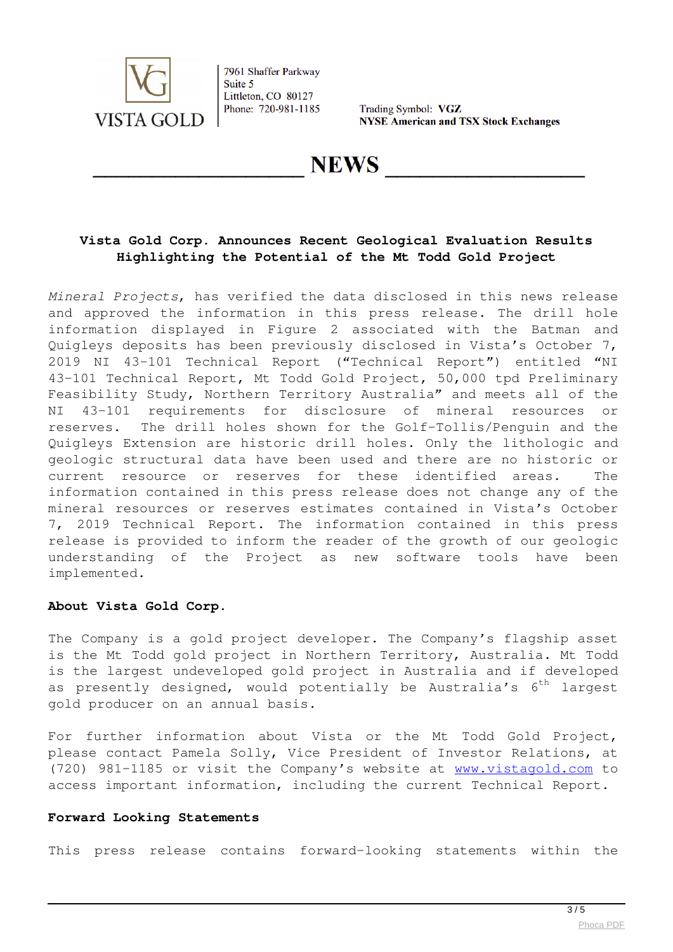

Trading Symbol: VGZ **NYSE American and TSX Stock Exchanges** 

**NEWS** 

### **Vista Gold Corp. Announces Recent Geological Evaluation Results Highlighting the Potential of the Mt Todd Gold Project**

*Mineral Projects*, has verified the data disclosed in this news release and approved the information in this press release. The drill hole information displayed in Figure 2 associated with the Batman and Quigleys deposits has been previously disclosed in Vista's October 7, 2019 NI 43-101 Technical Report ("Technical Report") entitled "NI 43-101 Technical Report, Mt Todd Gold Project, 50,000 tpd Preliminary Feasibility Study, Northern Territory Australia" and meets all of the NI 43-101 requirements for disclosure of mineral resources or reserves. The drill holes shown for the Golf-Tollis/Penguin and the Quigleys Extension are historic drill holes. Only the lithologic and geologic structural data have been used and there are no historic or current resource or reserves for these identified areas. The information contained in this press release does not change any of the mineral resources or reserves estimates contained in Vista's October 7, 2019 Technical Report. The information contained in this press release is provided to inform the reader of the growth of our geologic understanding of the Project as new software tools have been implemented.

#### **About Vista Gold Corp.**

The Company is a gold project developer. The Company's flagship asset is the Mt Todd gold project in Northern Territory, Australia. Mt Todd is the largest undeveloped gold project in Australia and if developed as presently designed, would potentially be Australia's  $6<sup>th</sup>$  largest gold producer on an annual basis.

For further information about Vista or the Mt Todd Gold Project, please contact Pamela Solly, Vice President of Investor Relations, at (720) 981-1185 or visit the Company's website at **[www.vistagold.com](https://www.globenewswire.com/Tracker?data=us9xM7h0GFZGpf3JDqR0ScxMuoChZh2BAYGMhAuQdopopGQsVTctl8FfVIa8e90ZqW6LqjwHLAPcnWLaYW2h3w==)** to access important information, including the current Technical Report.

#### **Forward Looking Statements**

This press release contains forward-looking statements within the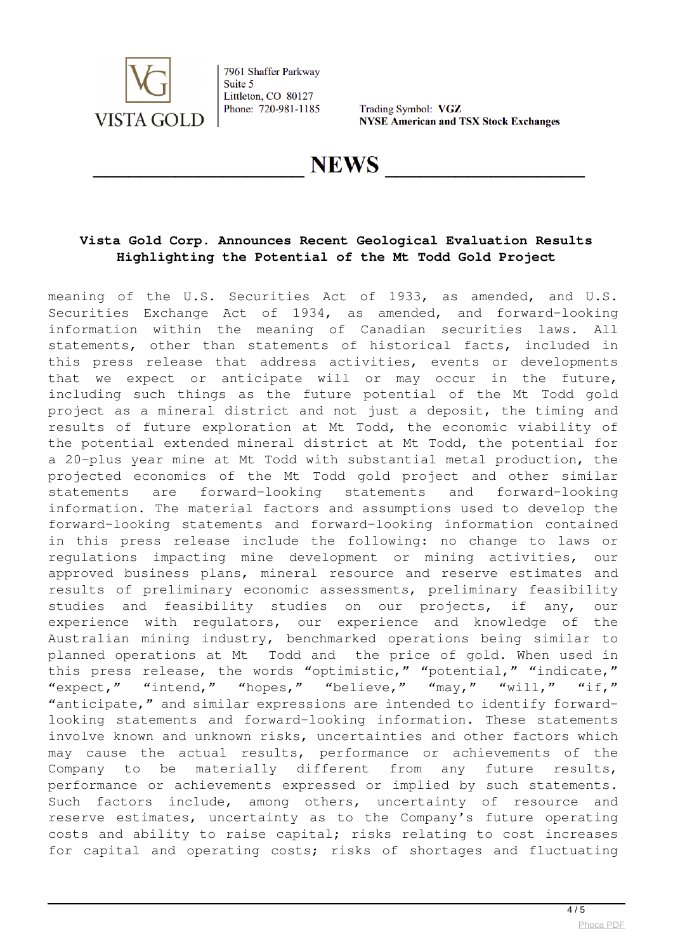

Trading Symbol: VGZ **NYSE American and TSX Stock Exchanges** 

**NEWS** 

# **Vista Gold Corp. Announces Recent Geological Evaluation Results Highlighting the Potential of the Mt Todd Gold Project**

meaning of the U.S. Securities Act of 1933, as amended, and U.S. Securities Exchange Act of 1934, as amended, and forward-looking information within the meaning of Canadian securities laws. All statements, other than statements of historical facts, included in this press release that address activities, events or developments that we expect or anticipate will or may occur in the future, including such things as the future potential of the Mt Todd gold project as a mineral district and not just a deposit, the timing and results of future exploration at Mt Todd, the economic viability of the potential extended mineral district at Mt Todd, the potential for a 20-plus year mine at Mt Todd with substantial metal production, the projected economics of the Mt Todd gold project and other similar statements are forward-looking statements and forward-looking information. The material factors and assumptions used to develop the forward-looking statements and forward-looking information contained in this press release include the following: no change to laws or regulations impacting mine development or mining activities, our approved business plans, mineral resource and reserve estimates and results of preliminary economic assessments, preliminary feasibility studies and feasibility studies on our projects, if any, our experience with regulators, our experience and knowledge of the Australian mining industry, benchmarked operations being similar to planned operations at Mt Todd and the price of gold. When used in this press release, the words "optimistic," "potential," "indicate," "expect," "intend," "hopes," "believe," "may," "will," "if," "anticipate," and similar expressions are intended to identify forwardlooking statements and forward-looking information. These statements involve known and unknown risks, uncertainties and other factors which may cause the actual results, performance or achievements of the Company to be materially different from any future results, performance or achievements expressed or implied by such statements. Such factors include, among others, uncertainty of resource and reserve estimates, uncertainty as to the Company's future operating costs and ability to raise capital; risks relating to cost increases for capital and operating costs; risks of shortages and fluctuating